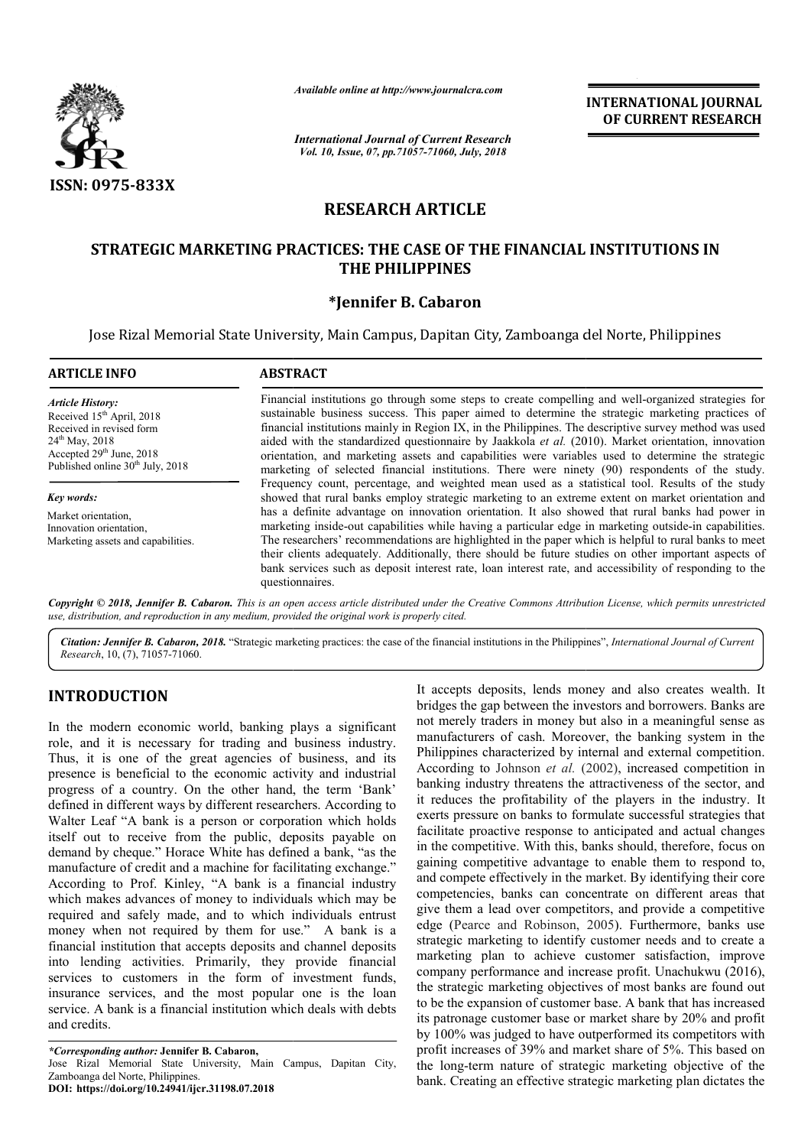

# **RESEARCH ARTICLE**

# **STRATEGIC MARKETING PRACTICES: THE CASE OF THE FINANCIAL INSTITUTIONS IN CASE OF THE PHILIPPINES**

## **\*Jennifer B. Cabaron**

| <b>ISSN: 0975-833X</b>                                                                                                                                                                                 | Available online at http://www.journalcra.com<br><b>INTERNATIONAL JOURNAL</b><br>OF CURRENT RESEARCH<br><b>International Journal of Current Research</b><br>Vol. 10, Issue, 07, pp.71057-71060, July, 2018                                                                                                                                                                                                                                                                                                                                                                                                                                                                                                                                                        |
|--------------------------------------------------------------------------------------------------------------------------------------------------------------------------------------------------------|-------------------------------------------------------------------------------------------------------------------------------------------------------------------------------------------------------------------------------------------------------------------------------------------------------------------------------------------------------------------------------------------------------------------------------------------------------------------------------------------------------------------------------------------------------------------------------------------------------------------------------------------------------------------------------------------------------------------------------------------------------------------|
|                                                                                                                                                                                                        | <b>RESEARCH ARTICLE</b>                                                                                                                                                                                                                                                                                                                                                                                                                                                                                                                                                                                                                                                                                                                                           |
|                                                                                                                                                                                                        | STRATEGIC MARKETING PRACTICES: THE CASE OF THE FINANCIAL INSTITUTIONS IN<br><b>THE PHILIPPINES</b><br>*Jennifer B. Cabaron<br>Jose Rizal Memorial State University, Main Campus, Dapitan City, Zamboanga del Norte, Philippines                                                                                                                                                                                                                                                                                                                                                                                                                                                                                                                                   |
| <b>ARTICLE INFO</b>                                                                                                                                                                                    | <b>ABSTRACT</b>                                                                                                                                                                                                                                                                                                                                                                                                                                                                                                                                                                                                                                                                                                                                                   |
| <b>Article History:</b><br>Received 15 <sup>th</sup> April, 2018<br>Received in revised form<br>24 <sup>th</sup> May, 2018<br>Accepted 29th June, 2018<br>Published online 30 <sup>th</sup> July, 2018 | Financial institutions go through some steps to create compelling and well-organized strategies for<br>sustainable business success. This paper aimed to determine the strategic marketing practices of<br>financial institutions mainly in Region IX, in the Philippines. The descriptive survey method was used<br>aided with the standardized questionnaire by Jaakkola et al. (2010). Market orientation, innovation<br>orientation, and marketing assets and capabilities were variables used to determine the strategic<br>marketing of selected financial institutions. There were ninety (90) respondents of the study.                                                                                                                                   |
| Key words:<br>Market orientation,<br>Innovation orientation,<br>Marketing assets and capabilities.                                                                                                     | Frequency count, percentage, and weighted mean used as a statistical tool. Results of the study<br>showed that rural banks employ strategic marketing to an extreme extent on market orientation and<br>has a definite advantage on innovation orientation. It also showed that rural banks had power in<br>marketing inside-out capabilities while having a particular edge in marketing outside-in capabilities.<br>The researchers' recommendations are highlighted in the paper which is helpful to rural banks to meet<br>their clients adequately. Additionally, there should be future studies on other important aspects of<br>bank services such as deposit interest rate, loan interest rate, and accessibility of responding to the<br>questionnaires. |
|                                                                                                                                                                                                        | Copyright © 2018, Jennifer B. Cabaron. This is an open access article distributed under the Creative Commons Attribution License, which permits unrestricted<br>use, distribution, and reproduction in any medium, provided the original work is properly cited.<br>Citation: Jennifer B. Cabaron, 2018. "Strategic marketing practices: the case of the financial institutions in the Philippines", International Journal of Current                                                                                                                                                                                                                                                                                                                             |

Citation: Jennifer B. Cabaron, 2018. "Strategic marketing practices: the case of the financial institutions in the Philippines", International Journal of Current *Research*, 10, (7), 71057-71060.

# **INTRODUCTION**

In the modern economic world, banking plays a significant role, and it is necessary for trading and business industry. Thus, it is one of the great agencies of business, and its presence is beneficial to the economic activity and industrial progress of a country. On the other hand, the term 'Bank' defined in different ways by different researchers. According to Walter Leaf "A bank is a person or corporation which holds itself out to receive from the public, deposits payable on demand by cheque." Horace White has defined a bank, "as the manufacture of credit and a machine for facilitating exchange." According to Prof. Kinley, "A bank is a financial industry which makes advances of money to individuals which may be required and safely made, and to which individuals entrust money when not required by them for use." A bank is a financial institution that accepts deposits and channel deposits into lending activities. Primarily, they provide financial services to customers in the form of investment funds, insurance services, and the most popular one is the loan service. A bank is a financial institution which deals with debts and credits.

*\*Corresponding author:* **Jennifer B. Cabaron,** Jose Rizal Memorial State University, Main Campus, Dapitan City, Zamboanga del Norte, Philippines. **DOI: https://doi.org/10.24941/ijcr.31198.07.2018**

**UCTION**<br>
It accepts deposits, lends money and also creates wealth. It<br>
dern economic world, banking plays a significant<br>
ind enterely traders in money but also in a meaningful sense as<br>
it is necessary for trading and bu bridges the gap between the investors and borrowers. Banks are not merely traders in money but also in a meaningful sense as manufacturers of cash. Moreover, the banking system in the Philippines characterized by internal and external competition. According to Johnson *et al.* (2002), increased competition in banking industry threatens the attractiveness of the sector, and it reduces the profitability of the players in the industry. It exerts pressure on banks to formulate successful strategies that facilitate proactive response to anticipated and actual changes it reduces the profitability of the players in the industry. It exerts pressure on banks to formulate successful strategies that facilitate proactive response to anticipated and actual changes in the competitive. With this gaining competitive advantage to enable them to respond to, and compete effectively in the market. By identifying their core competencies, banks can concentrate on different areas that gaining competitive advantage to enable them to respond to, and compete effectively in the market. By identifying their core competencies, banks can concentrate on different areas that give them a lead over competitors, an edge (Pearce and Robinson, 2005 2005). Furthermore, banks use strategic marketing to identify customer needs and to create a marketing plan to achieve customer satisfaction, improve company performance and increase profit. Unachukwu the strategic marketing objectives of most banks are found out to be the expansion of customer base. A bank that has increased its patronage customer base or market share by 20% and profit the strategic marketing objectives of most banks are found out<br>to be the expansion of customer base. A bank that has increased<br>its patronage customer base or market share by 20% and profit<br>by 100% was judged to have outper profit increases of 39% and market share of 5%. This based on the long-term nature of strategic marketing objective of the bank. Creating an effective strategic marketing plan dictates the It accepts deposits, lends money and also creates wealth. It bridges the gap between the investors and borrowers. Banks are not merely traders in money but also in a meaningful sense as manufacturers of cash. Moreover, th marketing to identify customer needs and to create a<br>g plan to achieve customer satisfaction, improve<br>performance and increase profit. Unachukwu (2016), **INTERNATIONAL JOURNAL**<br>
THE RESCRIPT TREST (**OURNENT RESEARCH**<br>
THE RESCRIPT TREST (**OURNENT RESEARCH**<br>
THE **ET ALE CREATION CONTRETT (**OURNENT RESEARCH<br> **ICLE**<br> **ICLE**<br> **ICLE**<br> **ICLE**<br> **ICLE**<br> **ICLE**<br> **ICLE**<br> **ICLE**<br> **I**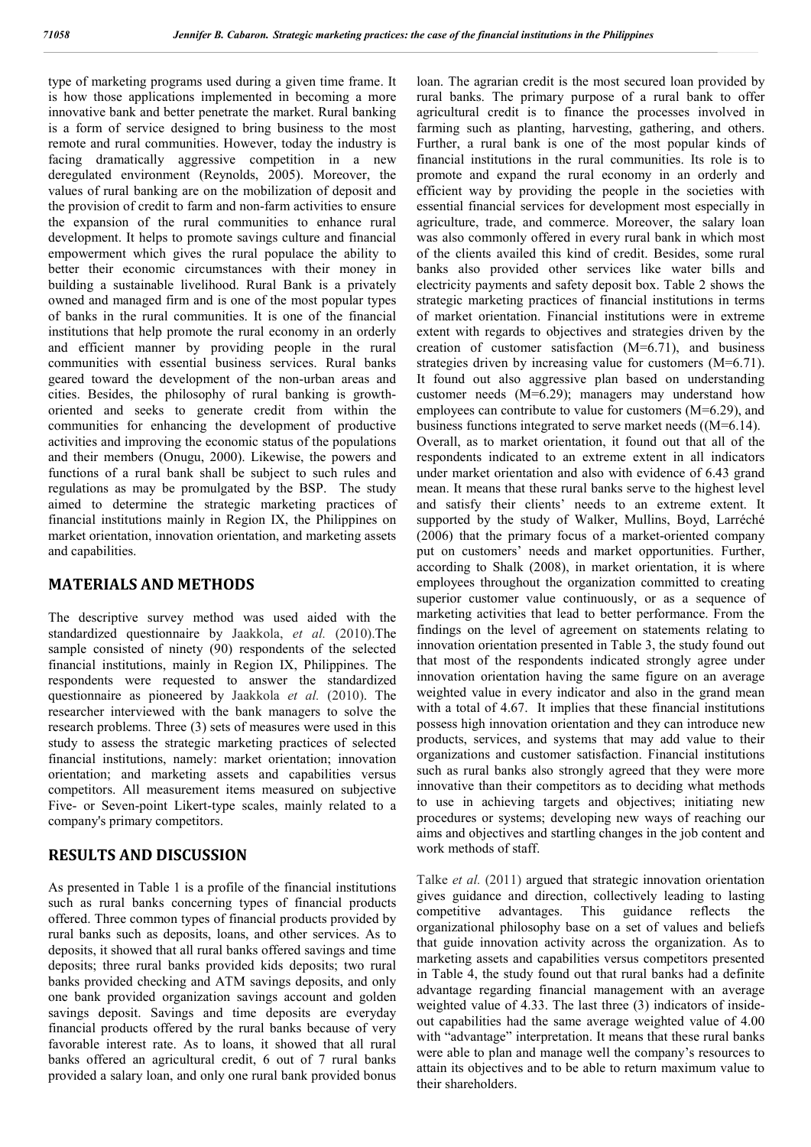type of marketing programs used during a given time frame. It is how those applications implemented in becoming a more innovative bank and better penetrate the market. Rural banking is a form of service designed to bring business to the most remote and rural communities. However, today the industry is facing dramatically aggressive competition in a new deregulated environment (Reynolds, 2005). Moreover, the values of rural banking are on the mobilization of deposit and the provision of credit to farm and non-farm activities to ensure the expansion of the rural communities to enhance rural development. It helps to promote savings culture and financial empowerment which gives the rural populace the ability to better their economic circumstances with their money in building a sustainable livelihood. Rural Bank is a privately owned and managed firm and is one of the most popular types of banks in the rural communities. It is one of the financial institutions that help promote the rural economy in an orderly and efficient manner by providing people in the rural communities with essential business services. Rural banks geared toward the development of the non-urban areas and cities. Besides, the philosophy of rural banking is growthoriented and seeks to generate credit from within the communities for enhancing the development of productive activities and improving the economic status of the populations and their members (Onugu, 2000). Likewise, the powers and functions of a rural bank shall be subject to such rules and regulations as may be promulgated by the BSP. The study aimed to determine the strategic marketing practices of financial institutions mainly in Region IX, the Philippines on market orientation, innovation orientation, and marketing assets and capabilities.

### **MATERIALS AND METHODS**

The descriptive survey method was used aided with the standardized questionnaire by Jaakkola, *et al.* (2010).The sample consisted of ninety (90) respondents of the selected financial institutions, mainly in Region IX, Philippines. The respondents were requested to answer the standardized questionnaire as pioneered by Jaakkola *et al.* (2010). The researcher interviewed with the bank managers to solve the research problems. Three (3) sets of measures were used in this study to assess the strategic marketing practices of selected financial institutions, namely: market orientation; innovation orientation; and marketing assets and capabilities versus competitors. All measurement items measured on subjective Five- or Seven-point Likert-type scales, mainly related to a company's primary competitors.

## **RESULTS AND DISCUSSION**

As presented in Table 1 is a profile of the financial institutions such as rural banks concerning types of financial products offered. Three common types of financial products provided by rural banks such as deposits, loans, and other services. As to deposits, it showed that all rural banks offered savings and time deposits; three rural banks provided kids deposits; two rural banks provided checking and ATM savings deposits, and only one bank provided organization savings account and golden savings deposit. Savings and time deposits are everyday financial products offered by the rural banks because of very favorable interest rate. As to loans, it showed that all rural banks offered an agricultural credit, 6 out of 7 rural banks provided a salary loan, and only one rural bank provided bonus

loan. The agrarian credit is the most secured loan provided by rural banks. The primary purpose of a rural bank to offer agricultural credit is to finance the processes involved in farming such as planting, harvesting, gathering, and others. Further, a rural bank is one of the most popular kinds of financial institutions in the rural communities. Its role is to promote and expand the rural economy in an orderly and efficient way by providing the people in the societies with essential financial services for development most especially in agriculture, trade, and commerce. Moreover, the salary loan was also commonly offered in every rural bank in which most of the clients availed this kind of credit. Besides, some rural banks also provided other services like water bills and electricity payments and safety deposit box. Table 2 shows the strategic marketing practices of financial institutions in terms of market orientation. Financial institutions were in extreme extent with regards to objectives and strategies driven by the creation of customer satisfaction (M=6.71), and business strategies driven by increasing value for customers (M=6.71). It found out also aggressive plan based on understanding customer needs (M=6.29); managers may understand how employees can contribute to value for customers (M=6.29), and business functions integrated to serve market needs ((M=6.14). Overall, as to market orientation, it found out that all of the respondents indicated to an extreme extent in all indicators under market orientation and also with evidence of 6.43 grand mean. It means that these rural banks serve to the highest level and satisfy their clients' needs to an extreme extent. It supported by the study of Walker, Mullins, Boyd, Larréché (2006) that the primary focus of a market-oriented company put on customers' needs and market opportunities. Further, according to Shalk (2008), in market orientation, it is where employees throughout the organization committed to creating superior customer value continuously, or as a sequence of marketing activities that lead to better performance. From the findings on the level of agreement on statements relating to innovation orientation presented in Table 3, the study found out that most of the respondents indicated strongly agree under innovation orientation having the same figure on an average weighted value in every indicator and also in the grand mean with a total of 4.67. It implies that these financial institutions possess high innovation orientation and they can introduce new products, services, and systems that may add value to their organizations and customer satisfaction. Financial institutions such as rural banks also strongly agreed that they were more innovative than their competitors as to deciding what methods to use in achieving targets and objectives; initiating new procedures or systems; developing new ways of reaching our aims and objectives and startling changes in the job content and work methods of staff.

Talke *et al.* (2011) argued that strategic innovation orientation gives guidance and direction, collectively leading to lasting competitive advantages. This guidance reflects the organizational philosophy base on a set of values and beliefs that guide innovation activity across the organization. As to marketing assets and capabilities versus competitors presented in Table 4, the study found out that rural banks had a definite advantage regarding financial management with an average weighted value of 4.33. The last three (3) indicators of insideout capabilities had the same average weighted value of 4.00 with "advantage" interpretation. It means that these rural banks were able to plan and manage well the company's resources to attain its objectives and to be able to return maximum value to their shareholders.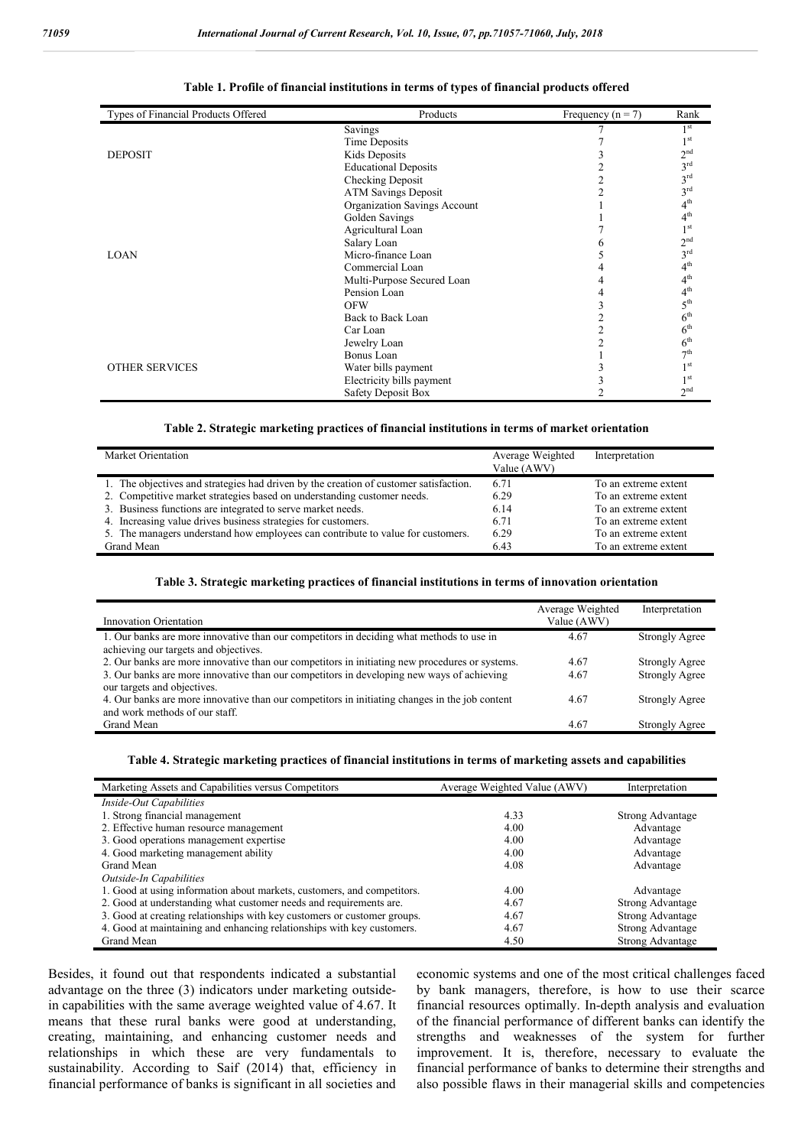| Types of Financial Products Offered | Products                     | Frequency ( $n = 7$ ) | Rank            |
|-------------------------------------|------------------------------|-----------------------|-----------------|
|                                     | Savings                      |                       | 1 <sup>st</sup> |
|                                     | Time Deposits                |                       | 1 <sup>st</sup> |
| <b>DEPOSIT</b>                      | Kids Deposits                |                       | 2 <sup>nd</sup> |
|                                     | <b>Educational Deposits</b>  |                       | 3 <sup>rd</sup> |
|                                     | Checking Deposit             |                       | $3^{\text{rd}}$ |
|                                     | <b>ATM Savings Deposit</b>   |                       | 3 <sup>rd</sup> |
|                                     | Organization Savings Account |                       | 4 <sup>th</sup> |
|                                     | Golden Savings               |                       | 4 <sup>th</sup> |
|                                     | Agricultural Loan            |                       | 1 <sup>st</sup> |
|                                     | Salary Loan                  |                       | 2 <sup>nd</sup> |
| <b>LOAN</b>                         | Micro-finance Loan           |                       | 3 <sup>rd</sup> |
|                                     | Commercial Loan              |                       | 4 <sup>th</sup> |
|                                     | Multi-Purpose Secured Loan   |                       | 4 <sup>th</sup> |
|                                     | Pension Loan                 |                       | 4 <sup>th</sup> |
|                                     | <b>OFW</b>                   |                       | 5 <sup>th</sup> |
|                                     | Back to Back Loan            |                       | 6 <sup>th</sup> |
|                                     | Car Loan                     |                       | 6 <sup>th</sup> |
|                                     | Jewelry Loan                 |                       | 6 <sup>th</sup> |
|                                     | Bonus Loan                   |                       | 7 <sup>th</sup> |
| <b>OTHER SERVICES</b>               | Water bills payment          |                       | 1 <sup>st</sup> |
|                                     | Electricity bills payment    |                       | 1 <sup>st</sup> |
|                                     | <b>Safety Deposit Box</b>    |                       | 2 <sup>nd</sup> |

#### **Table 1. Profile of financial institutions in terms of types of financial products offered**

#### **Table 2. Strategic marketing practices of financial institutions in terms of market orientation**

| Market Orientation                                                                    | Average Weighted<br>Value (AWV) | Interpretation       |
|---------------------------------------------------------------------------------------|---------------------------------|----------------------|
|                                                                                       |                                 |                      |
| 1. The objectives and strategies had driven by the creation of customer satisfaction. | 6.71                            | To an extreme extent |
| 2. Competitive market strategies based on understanding customer needs.               | 6.29                            | To an extreme extent |
| 3. Business functions are integrated to serve market needs.                           | 6.14                            | To an extreme extent |
| 4. Increasing value drives business strategies for customers.                         | 6.71                            | To an extreme extent |
| 5. The managers understand how employees can contribute to value for customers.       | 6.29                            | To an extreme extent |
| Grand Mean                                                                            | 6.43                            | To an extreme extent |

#### **Table 3. Strategic marketing practices of financial institutions in terms of innovation orientation**

| Innovation Orientation                                                                                                                                                                                                     | Average Weighted<br>Value (AWV) | Interpretation                                 |
|----------------------------------------------------------------------------------------------------------------------------------------------------------------------------------------------------------------------------|---------------------------------|------------------------------------------------|
| 1. Our banks are more innovative than our competitors in deciding what methods to use in<br>achieving our targets and objectives.                                                                                          | 4.67                            | Strongly Agree                                 |
| 2. Our banks are more innovative than our competitors in initiating new procedures or systems.<br>3. Our banks are more innovative than our competitors in developing new ways of achieving<br>our targets and objectives. | 4.67<br>4.67                    | <b>Strongly Agree</b><br><b>Strongly Agree</b> |
| 4. Our banks are more innovative than our competitors in initiating changes in the job content<br>and work methods of our staff.                                                                                           | 4.67                            | <b>Strongly Agree</b>                          |
| Grand Mean                                                                                                                                                                                                                 | 4.67                            | Strongly Agree                                 |

#### **Table 4. Strategic marketing practices of financial institutions in terms of marketing assets and capabilities**

| Marketing Assets and Capabilities versus Competitors                     | Average Weighted Value (AWV) | Interpretation   |
|--------------------------------------------------------------------------|------------------------------|------------------|
| Inside-Out Capabilities                                                  |                              |                  |
| 1. Strong financial management                                           | 4.33                         | Strong Advantage |
| 2. Effective human resource management                                   | 4.00                         | Advantage        |
| 3. Good operations management expertise                                  | 4.00                         | Advantage        |
| 4. Good marketing management ability                                     | 4.00                         | Advantage        |
| Grand Mean                                                               | 4.08                         | Advantage        |
| Outside-In Capabilities                                                  |                              |                  |
| 1. Good at using information about markets, customers, and competitors.  | 4.00                         | Advantage        |
| 2. Good at understanding what customer needs and requirements are.       | 4.67                         | Strong Advantage |
| 3. Good at creating relationships with key customers or customer groups. | 4.67                         | Strong Advantage |
| 4. Good at maintaining and enhancing relationships with key customers.   | 4.67                         | Strong Advantage |
| Grand Mean                                                               | 4.50                         | Strong Advantage |

Besides, it found out that respondents indicated a substantial advantage on the three (3) indicators under marketing outsidein capabilities with the same average weighted value of 4.67. It means that these rural banks were good at understanding, creating, maintaining, and enhancing customer needs and relationships in which these are very fundamentals to sustainability. According to Saif (2014) that, efficiency in financial performance of banks is significant in all societies and

economic systems and one of the most critical challenges faced by bank managers, therefore, is how to use their scarce financial resources optimally. In-depth analysis and evaluation of the financial performance of different banks can identify the strengths and weaknesses of the system for further improvement. It is, therefore, necessary to evaluate the financial performance of banks to determine their strengths and also possible flaws in their managerial skills and competencies